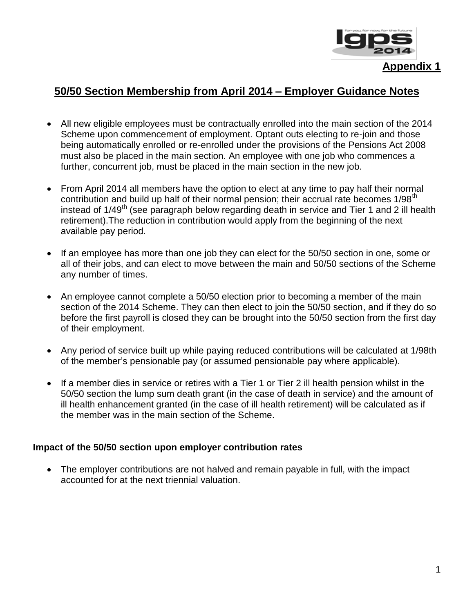

**Appendix 1**

# **50/50 Section Membership from April 2014 – Employer Guidance Notes**

- All new eligible employees must be contractually enrolled into the main section of the 2014 Scheme upon commencement of employment. Optant outs electing to re-join and those being automatically enrolled or re-enrolled under the provisions of the Pensions Act 2008 must also be placed in the main section. An employee with one job who commences a further, concurrent job, must be placed in the main section in the new job.
- From April 2014 all members have the option to elect at any time to pay half their normal contribution and build up half of their normal pension; their accrual rate becomes 1/98<sup>th</sup> instead of  $1/49<sup>th</sup>$  (see paragraph below regarding death in service and Tier 1 and 2 ill health retirement).The reduction in contribution would apply from the beginning of the next available pay period.
- If an employee has more than one job they can elect for the 50/50 section in one, some or all of their jobs, and can elect to move between the main and 50/50 sections of the Scheme any number of times.
- An employee cannot complete a 50/50 election prior to becoming a member of the main section of the 2014 Scheme. They can then elect to join the 50/50 section, and if they do so before the first payroll is closed they can be brought into the 50/50 section from the first day of their employment.
- Any period of service built up while paying reduced contributions will be calculated at 1/98th of the member's pensionable pay (or assumed pensionable pay where applicable).
- If a member dies in service or retires with a Tier 1 or Tier 2 ill health pension whilst in the 50/50 section the lump sum death grant (in the case of death in service) and the amount of ill health enhancement granted (in the case of ill health retirement) will be calculated as if the member was in the main section of the Scheme.

## **Impact of the 50/50 section upon employer contribution rates**

• The employer contributions are not halved and remain payable in full, with the impact accounted for at the next triennial valuation.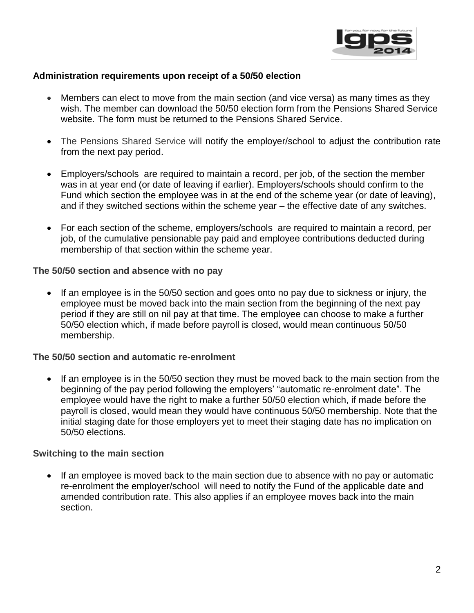

## **Administration requirements upon receipt of a 50/50 election**

- Members can elect to move from the main section (and vice versa) as many times as they wish. The member can download the 50/50 election form from the Pensions Shared Service website. The form must be returned to the Pensions Shared Service.
- The Pensions Shared Service will notify the employer/school to adjust the contribution rate from the next pay period.
- Employers/schools are required to maintain a record, per job, of the section the member was in at year end (or date of leaving if earlier). Employers/schools should confirm to the Fund which section the employee was in at the end of the scheme year (or date of leaving), and if they switched sections within the scheme year – the effective date of any switches.
- For each section of the scheme, employers/schools are required to maintain a record, per job, of the cumulative pensionable pay paid and employee contributions deducted during membership of that section within the scheme year.

**The 50/50 section and absence with no pay**

 If an employee is in the 50/50 section and goes onto no pay due to sickness or injury, the employee must be moved back into the main section from the beginning of the next pay period if they are still on nil pay at that time. The employee can choose to make a further 50/50 election which, if made before payroll is closed, would mean continuous 50/50 membership.

#### **The 50/50 section and automatic re-enrolment**

• If an employee is in the 50/50 section they must be moved back to the main section from the beginning of the pay period following the employers' "automatic re-enrolment date". The employee would have the right to make a further 50/50 election which, if made before the payroll is closed, would mean they would have continuous 50/50 membership. Note that the initial staging date for those employers yet to meet their staging date has no implication on 50/50 elections.

## **Switching to the main section**

• If an employee is moved back to the main section due to absence with no pay or automatic re-enrolment the employer/school will need to notify the Fund of the applicable date and amended contribution rate. This also applies if an employee moves back into the main section.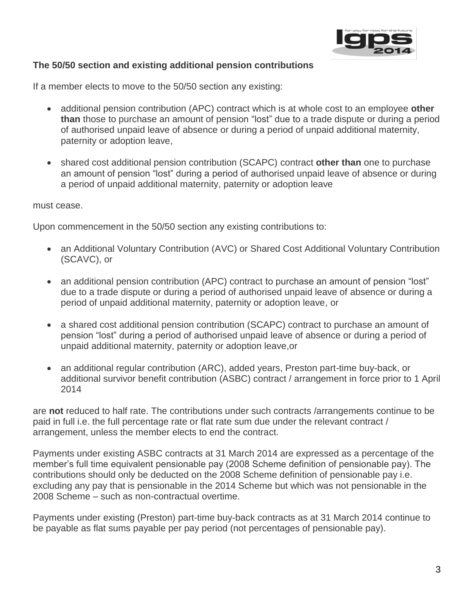

# **The 50/50 section and existing additional pension contributions**

If a member elects to move to the 50/50 section any existing:

- additional pension contribution (APC) contract which is at whole cost to an employee **other than** those to purchase an amount of pension "lost" due to a trade dispute or during a period of authorised unpaid leave of absence or during a period of unpaid additional maternity, paternity or adoption leave,
- shared cost additional pension contribution (SCAPC) contract **other than** one to purchase an amount of pension "lost" during a period of authorised unpaid leave of absence or during a period of unpaid additional maternity, paternity or adoption leave

#### must cease.

Upon commencement in the 50/50 section any existing contributions to:

- an Additional Voluntary Contribution (AVC) or Shared Cost Additional Voluntary Contribution (SCAVC), or
- an additional pension contribution (APC) contract to purchase an amount of pension "lost" due to a trade dispute or during a period of authorised unpaid leave of absence or during a period of unpaid additional maternity, paternity or adoption leave, or
- a shared cost additional pension contribution (SCAPC) contract to purchase an amount of pension "lost" during a period of authorised unpaid leave of absence or during a period of unpaid additional maternity, paternity or adoption leave,or
- an additional regular contribution (ARC), added years, Preston part-time buy-back, or additional survivor benefit contribution (ASBC) contract / arrangement in force prior to 1 April 2014

are **not** reduced to half rate. The contributions under such contracts /arrangements continue to be paid in full i.e. the full percentage rate or flat rate sum due under the relevant contract / arrangement, unless the member elects to end the contract.

Payments under existing ASBC contracts at 31 March 2014 are expressed as a percentage of the member's full time equivalent pensionable pay (2008 Scheme definition of pensionable pay). The contributions should only be deducted on the 2008 Scheme definition of pensionable pay i.e. excluding any pay that is pensionable in the 2014 Scheme but which was not pensionable in the 2008 Scheme – such as non-contractual overtime.

Payments under existing (Preston) part-time buy-back contracts as at 31 March 2014 continue to be payable as flat sums payable per pay period (not percentages of pensionable pay).